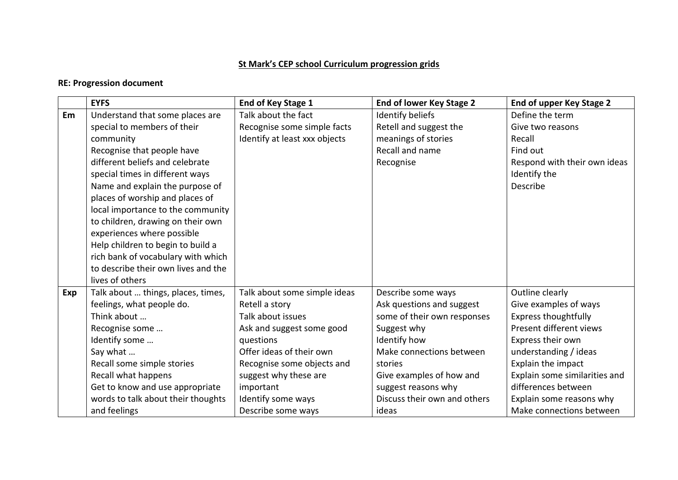## **St Mark's CEP school Curriculum progression grids**

## **RE: Progression document**

|            | <b>EYFS</b>                         | <b>End of Key Stage 1</b>     | End of lower Key Stage 2     | End of upper Key Stage 2      |
|------------|-------------------------------------|-------------------------------|------------------------------|-------------------------------|
| Em         | Understand that some places are     | Talk about the fact           | <b>Identify beliefs</b>      | Define the term               |
|            | special to members of their         | Recognise some simple facts   | Retell and suggest the       | Give two reasons              |
|            | community                           | Identify at least xxx objects | meanings of stories          | Recall                        |
|            | Recognise that people have          |                               | Recall and name              | Find out                      |
|            | different beliefs and celebrate     |                               | Recognise                    | Respond with their own ideas  |
|            | special times in different ways     |                               |                              | Identify the                  |
|            | Name and explain the purpose of     |                               |                              | Describe                      |
|            | places of worship and places of     |                               |                              |                               |
|            | local importance to the community   |                               |                              |                               |
|            | to children, drawing on their own   |                               |                              |                               |
|            | experiences where possible          |                               |                              |                               |
|            | Help children to begin to build a   |                               |                              |                               |
|            | rich bank of vocabulary with which  |                               |                              |                               |
|            | to describe their own lives and the |                               |                              |                               |
|            | lives of others                     |                               |                              |                               |
| <b>Exp</b> | Talk about  things, places, times,  | Talk about some simple ideas  | Describe some ways           | Outline clearly               |
|            | feelings, what people do.           | Retell a story                | Ask questions and suggest    | Give examples of ways         |
|            | Think about                         | Talk about issues             | some of their own responses  | <b>Express thoughtfully</b>   |
|            | Recognise some                      | Ask and suggest some good     | Suggest why                  | Present different views       |
|            | Identify some                       | questions                     | Identify how                 | Express their own             |
|            | Say what                            | Offer ideas of their own      | Make connections between     | understanding / ideas         |
|            | Recall some simple stories          | Recognise some objects and    | stories                      | Explain the impact            |
|            | Recall what happens                 | suggest why these are         | Give examples of how and     | Explain some similarities and |
|            | Get to know and use appropriate     | important                     | suggest reasons why          | differences between           |
|            | words to talk about their thoughts  | Identify some ways            | Discuss their own and others | Explain some reasons why      |
|            | and feelings                        | Describe some ways            | ideas                        | Make connections between      |